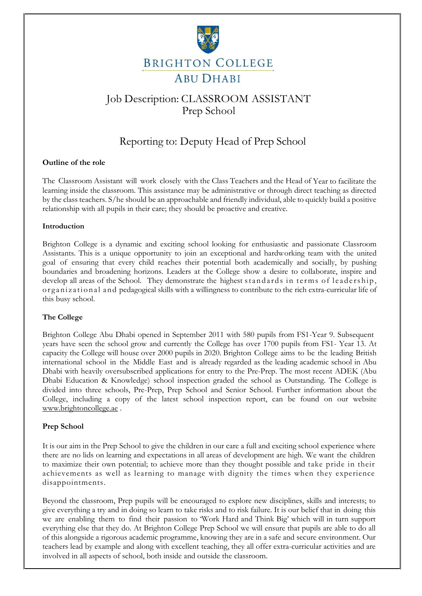

# Job Description: CLASSROOM ASSISTANT Prep School

# Reporting to: Deputy Head of Prep School

## **Outline of the role**

The Classroom Assistant will work closely with the Class Teachers and the Head of Year to facilitate the learning inside the classroom. This assistance may be administrative or through direct teaching as directed by the class teachers. S/he should be an approachable and friendly individual, able to quickly build a positive relationship with all pupils in their care; they should be proactive and creative.

#### **Introduction**

Brighton College is a dynamic and exciting school looking for enthusiastic and passionate Classroom Assistants. This is a unique opportunity to join an exceptional and hardworking team with the united goal of ensuring that every child reaches their potential both academically and socially, by pushing boundaries and broadening horizons. Leaders at the College show a desire to collaborate, inspire and develop all areas of the School. They demonstrate the highest standards in terms of leadership, organizational and pedagogical skills with a willingness to contribute to the rich extra-curricular life of this busy school.

## **The College**

Brighton College Abu Dhabi opened in September 2011 with 580 pupils from FS1-Year 9. Subsequent years have seen the school grow and currently the College has over 1700 pupils from FS1- Year 13. At capacity the College will house over 2000 pupils in 2020. Brighton College aims to be the leading British international school in the Middle East and is already regarded as the leading academic school in Abu Dhabi with heavily oversubscribed applications for entry to the Pre-Prep. The most recent ADEK (Abu Dhabi Education & Knowledge) school inspection graded the school as Outstanding. The College is divided into three schools, Pre-Prep, Prep School and Senior School. Further information about the College, including a copy of the latest school inspection report, can be found on our website [www.brightoncollege.ae](http://www.brightoncollege.ae/) .

## **Prep School**

It is our aim in the Prep School to give the children in our care a full and exciting school experience where there are no lids on learning and expectations in all areas of development are high. We want the children to maximize their own potential; to achieve more than they thought possible and take pride in their achievements as well as learning to manage with dignity the times when they experience disappointments.

Beyond the classroom, Prep pupils will be encouraged to explore new disciplines, skills and interests; to give everything a try and in doing so learn to take risks and to risk failure. It is our belief that in doing this we are enabling them to find their passion to 'Work Hard and Think Big' which will in turn support everything else that they do. At Brighton College Prep School we will ensure that pupils are able to do all of this alongside a rigorous academic programme, knowing they are in a safe and secure environment. Our teachers lead by example and along with excellent teaching, they all offer extra-curricular activities and are involved in all aspects of school, both inside and outside the classroom.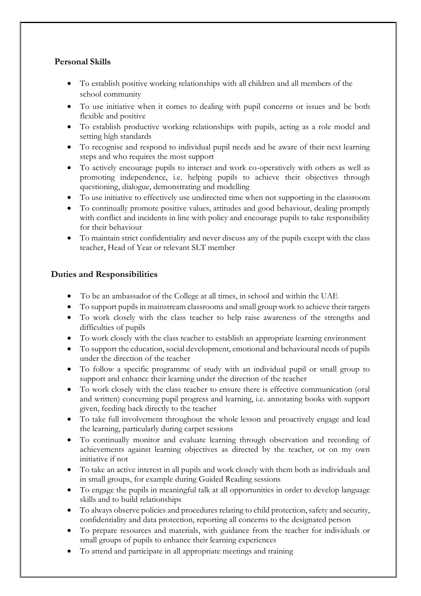# **Personal Skills**

- To establish positive working relationships with all children and all members of the school community
- To use initiative when it comes to dealing with pupil concerns or issues and be both flexible and positive
- To establish productive working relationships with pupils, acting as a role model and setting high standards
- To recognise and respond to individual pupil needs and be aware of their next learning steps and who requires the most support
- To actively encourage pupils to interact and work co-operatively with others as well as promoting independence, i.e. helping pupils to achieve their objectives through questioning, dialogue, demonstrating and modelling
- To use initiative to effectively use undirected time when not supporting in the classroom
- To continually promote positive values, attitudes and good behaviour, dealing promptly with conflict and incidents in line with policy and encourage pupils to take responsibility for their behaviour
- To maintain strict confidentiality and never discuss any of the pupils except with the class teacher, Head of Year or relevant SLT member

## **Duties and Responsibilities**

- To be an ambassador of the College at all times, in school and within the UAE
- To support pupils in mainstream classrooms and small group work to achieve their targets
- To work closely with the class teacher to help raise awareness of the strengths and difficulties of pupils
- To work closely with the class teacher to establish an appropriate learning environment
- To support the education, social development, emotional and behavioural needs of pupils under the direction of the teacher
- To follow a specific programme of study with an individual pupil or small group to support and enhance their learning under the direction of the teacher
- To work closely with the class teacher to ensure there is effective communication (oral and written) concerning pupil progress and learning, i.e. annotating books with support given, feeding back directly to the teacher
- To take full involvement throughout the whole lesson and proactively engage and lead the learning, particularly during carpet sessions
- To continually monitor and evaluate learning through observation and recording of achievements against learning objectives as directed by the teacher, or on my own initiative if not
- To take an active interest in all pupils and work closely with them both as individuals and in small groups, for example during Guided Reading sessions
- To engage the pupils in meaningful talk at all opportunities in order to develop language skills and to build relationships
- To always observe policies and procedures relating to child protection, safety and security, confidentiality and data protection, reporting all concerns to the designated person
- To prepare resources and materials, with guidance from the teacher for individuals or small groups of pupils to enhance their learning experiences
- To attend and participate in all appropriate meetings and training